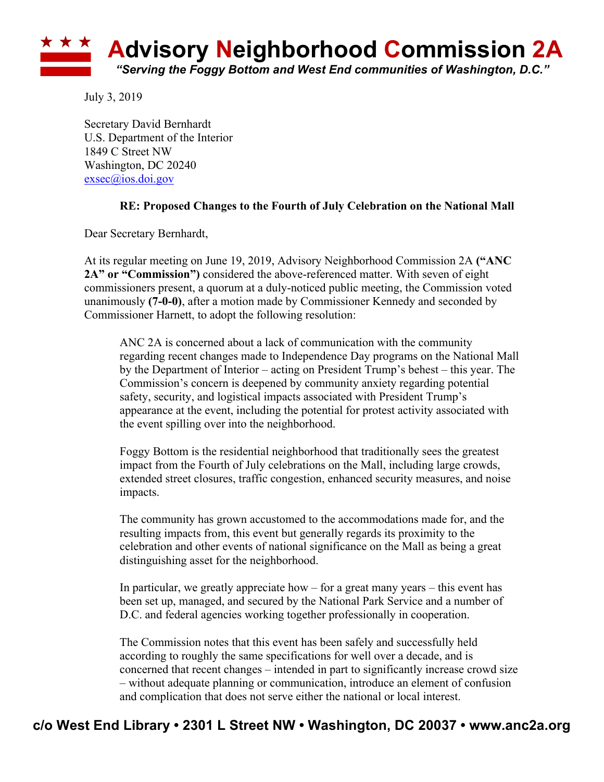

July 3, 2019

Secretary David Bernhardt U.S. Department of the Interior 1849 C Street NW Washington, DC 20240 exsec@ios.doi.gov

## **RE: Proposed Changes to the Fourth of July Celebration on the National Mall**

Dear Secretary Bernhardt,

At its regular meeting on June 19, 2019, Advisory Neighborhood Commission 2A **("ANC 2A" or "Commission")** considered the above-referenced matter. With seven of eight commissioners present, a quorum at a duly-noticed public meeting, the Commission voted unanimously **(7-0-0)**, after a motion made by Commissioner Kennedy and seconded by Commissioner Harnett, to adopt the following resolution:

ANC 2A is concerned about a lack of communication with the community regarding recent changes made to Independence Day programs on the National Mall by the Department of Interior – acting on President Trump's behest – this year. The Commission's concern is deepened by community anxiety regarding potential safety, security, and logistical impacts associated with President Trump's appearance at the event, including the potential for protest activity associated with the event spilling over into the neighborhood.

Foggy Bottom is the residential neighborhood that traditionally sees the greatest impact from the Fourth of July celebrations on the Mall, including large crowds, extended street closures, traffic congestion, enhanced security measures, and noise impacts.

The community has grown accustomed to the accommodations made for, and the resulting impacts from, this event but generally regards its proximity to the celebration and other events of national significance on the Mall as being a great distinguishing asset for the neighborhood.

In particular, we greatly appreciate how – for a great many years – this event has been set up, managed, and secured by the National Park Service and a number of D.C. and federal agencies working together professionally in cooperation.

The Commission notes that this event has been safely and successfully held according to roughly the same specifications for well over a decade, and is concerned that recent changes – intended in part to significantly increase crowd size – without adequate planning or communication, introduce an element of confusion and complication that does not serve either the national or local interest.